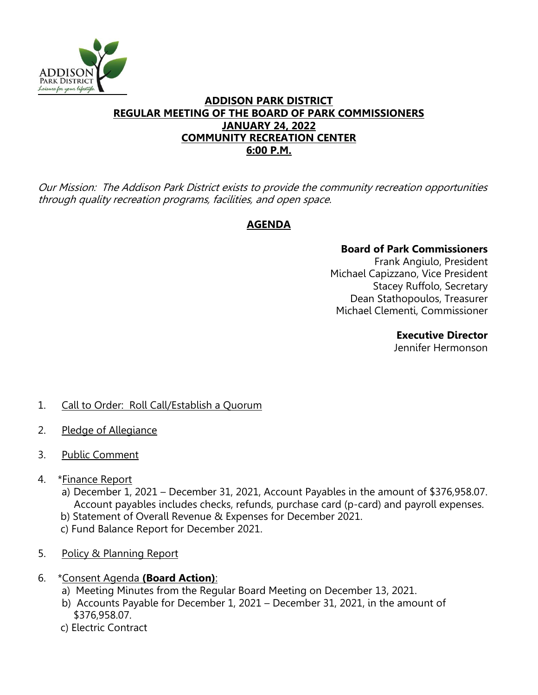

## **ADDISON PARK DISTRICT REGULAR MEETING OF THE BOARD OF PARK COMMISSIONERS JANUARY 24, 2022 COMMUNITY RECREATION CENTER 6:00 P.M.**

Our Mission: The Addison Park District exists to provide the community recreation opportunities through quality recreation programs, facilities, and open space.

# **AGENDA**

## **Board of Park Commissioners**

Frank Angiulo, President Michael Capizzano, Vice President Stacey Ruffolo, Secretary Dean Stathopoulos, Treasurer Michael Clementi, Commissioner

#### **Executive Director**

Jennifer Hermonson

- 1. Call to Order: Roll Call/Establish a Quorum
- 2. Pledge of Allegiance
- 3. Public Comment
- 4. \* Finance Report
	- a) December 1, 2021 December 31, 2021, Account Payables in the amount of \$376,958.07. Account payables includes checks, refunds, purchase card (p-card) and payroll expenses.
	- b) Statement of Overall Revenue & Expenses for December 2021.
	- c) Fund Balance Report for December 2021.
- 5. Policy & Planning Report
- 6. \*Consent Agenda **(Board Action)**:
	- a) Meeting Minutes from the Regular Board Meeting on December 13, 2021.
	- b) Accounts Payable for December 1, 2021 December 31, 2021, in the amount of \$376,958.07.
	- c) Electric Contract